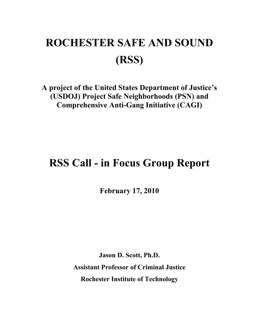# **ROCHESTER SAFE AND SOUND (RSS)**

**A project of the United States Department of Justice's (USDOJ) Project Safe Neighborhoods (PSN) and Comprehensive Anti-Gang Initiative (CAGI)**

# **RSS Call - in Focus Group Report**

**February 17, 2010**

**Jason D. Scott, Ph.D. Assistant Professor of Criminal Justice Rochester Institute of Technology**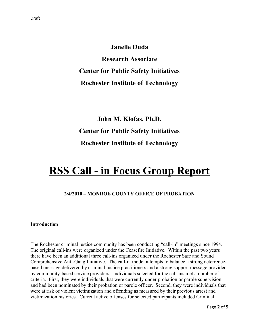**Janelle Duda Research Associate Center for Public Safety Initiatives Rochester Institute of Technology**

# **John M. Klofas, Ph.D. Center for Public Safety Initiatives Rochester Institute of Technology**

# **RSS Call - in Focus Group Report**

## **2/4/2010 – MONROE COUNTY OFFICE OF PROBATION**

#### **Introduction**

The Rochester criminal justice community has been conducting "call-in" meetings since 1994. The original call-ins were organized under the Ceasefire Initiative. Within the past two years there have been an additional three call-ins organized under the Rochester Safe and Sound Comprehensive Anti-Gang Initiative. The call-in model attempts to balance a strong deterrencebased message delivered by criminal justice practitioners and a strong support message provided by community-based service providers. Individuals selected for the call-ins met a number of criteria. First, they were individuals that were currently under probation or parole supervision and had been nominated by their probation or parole officer. Second, they were individuals that were at risk of violent victimization and offending as measured by their previous arrest and victimization histories. Current active offenses for selected participants included Criminal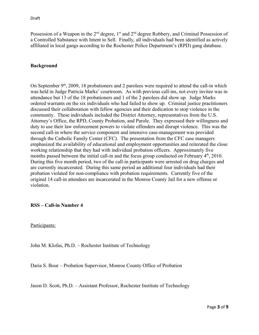Possession of a Weapon in the  $2<sup>nd</sup>$  degree,  $1<sup>st</sup>$  and  $2<sup>nd</sup>$  degree Robbery, and Criminal Possession of a Controlled Substance with Intent to Sell. Finally, all individuals had been identified as actively affiliated in local gangs according to the Rochester Police Department's (RPD) gang database.

#### **Background**

On September  $9<sup>th</sup>$ , 2009, 18 probationers and 2 parolees were required to attend the call-in which was held in Judge Patricia Marks' courtroom. As with previous call-ins, not every invitee was in attendance but 13 of the 18 probationers and 1 of the 2 parolees did show up. Judge Marks ordered warrants on the six individuals who had failed to show up. Criminal justice practitioners discussed their collaboration with fellow agencies and their dedication to stop violence in the community. These individuals included the District Attorney, representatives from the U.S. Attorney's Office, the RPD, County Probation, and Parole. They expressed their willingness and duty to use their law enforcement powers to violate offenders and disrupt violence. This was the second call-in where the service component and intensive case-management was provided through the Catholic Family Center (CFC). The presentation from the CFC case managers emphasized the availability of educational and employment opportunities and reiterated the close working relationship that they had with individual probation officers. Approximately five months passed between the initial call-in and the focus group conducted on February  $4<sup>th</sup>$ , 2010. During this five month period, two of the call-in participants were arrested on drug charges and are currently incarcerated. During this same period an additional four individuals had their probation violated for non-compliance with probation requirements. Currently five of the original 14 call-in attendees are incarcerated in the Monroe County Jail for a new offense or violation.

#### **RSS – Call-in Number 4**

Participants:

John M. Klofas, Ph.D. – Rochester Institute of Technology

Daria S. Bour – Probation Supervisor, Monroe County Office of Probation

Jason D. Scott, Ph.D. – Assistant Professor, Rochester Institute of Technology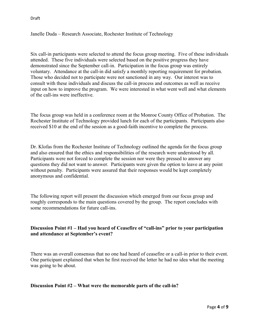Draft

Janelle Duda – Research Associate, Rochester Institute of Technology

Six call-in participants were selected to attend the focus group meeting. Five of these individuals attended. These five individuals were selected based on the positive progress they have demonstrated since the September call-in. Participation in the focus group was entirely voluntary. Attendance at the call-in did satisfy a monthly reporting requirement for probation. Those who decided not to participate were not sanctioned in any way. Our interest was to consult with these individuals and discuss the call-in process and outcomes as well as receive input on how to improve the program. We were interested in what went well and what elements of the call-ins were ineffective.

The focus group was held in a conference room at the Monroe County Office of Probation. The Rochester Institute of Technology provided lunch for each of the participants. Participants also received \$10 at the end of the session as a good-faith incentive to complete the process.

Dr. Klofas from the Rochester Institute of Technology outlined the agenda for the focus group and also ensured that the ethics and responsibilities of the research were understood by all. Participants were not forced to complete the session nor were they pressed to answer any questions they did not want to answer. Participants were given the option to leave at any point without penalty. Participants were assured that their responses would be kept completely anonymous and confidential.

The following report will present the discussion which emerged from our focus group and roughly corresponds to the main questions covered by the group. The report concludes with some recommendations for future call-ins.

### **Discussion Point #1 – Had you heard of Ceasefire of "call-ins" prior to your participation and attendance at September's event?**

There was an overall consensus that no one had heard of ceasefire or a call-in prior to their event. One participant explained that when he first received the letter he had no idea what the meeting was going to be about.

#### **Discussion Point #2 – What were the memorable parts of the call-in?**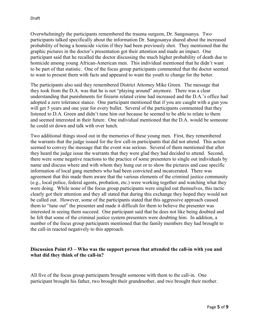Overwhelmingly the participants remembered the trauma surgeon, Dr. Sangosanya. Two participants talked specifically about the information Dr. Sangosanya shared about the increased probability of being a homicide victim if they had been previously shot. They mentioned that the graphic pictures in the doctor's presentation got their attention and made an impact. One participant said that he recalled the doctor discussing the much higher probability of death due to homicide among young African-American men. This individual mentioned that he didn't want to be part of that statistic. One of the focus group participants commented that the doctor seemed to want to present them with facts and appeared to want the youth to change for the better.

The participants also said they remembered District Attorney Mike Green. The message that they took from the D.A. was that he is not "playing around" anymore. There was a clear understanding that punishments for firearm related crime had increased and the D.A.'s office had adopted a zero tolerance stance. One participant mentioned that if you are caught with a gun you will get 5 years and one year for every bullet. Several of the participants commented that they listened to D.A. Green and didn't tune him out because he seemed to be able to relate to them and seemed interested in their future. One individual mentioned that the D.A. would be someone he could sit down and talk with over lunch.

Two additional things stood out in the memories of these young men. First, they remembered the warrants that the judge issued for the few call-in participants that did not attend. This action seemed to convey the message that the event was serious. Several of them mentioned that after they heard the judge issue the warrants that they were glad they had decided to attend. Second, there were some negative reactions to the practice of some presenters to single out individuals by name and discuss where and with whom they hung out or to show the pictures and case specific information of local gang members who had been convicted and incarcerated. There was agreement that this made them aware that the various elements of the criminal justice community (e.g., local police, federal agents, probation, etc.) were working together and watching what they were doing. While none of the focus group participants were singled out themselves, this tactic clearly got their attention and they all stated that during this exchange they hoped they would not be called out. However, some of the participants stated that this aggressive approach caused them to "tune out" the presenter and made it difficult for them to believe the presenter was interested in seeing them succeed. One participant said that he does not like being doubted and he felt that some of the criminal justice system presenters were doubting him. In addition, a number of the focus group participants mentioned that the family members they had brought to the call-in reacted negatively to this approach.

### **Discussion Point #3 – Who was the support person that attended the call-in with you and what did they think of the call-in?**

All five of the focus group participants brought someone with them to the call-in. One participant brought his father, two brought their grandmother, and two brought their mother.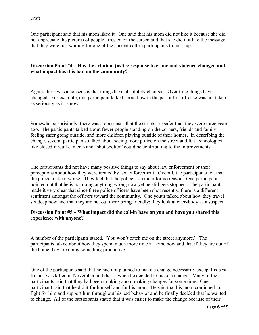One participant said that his mom liked it. One said that his mom did not like it because she did not appreciate the pictures of people arrested on the screen and that she did not like the message that they were just waiting for one of the current call-in participants to mess up.

## **Discussion Point #4 – Has the criminal justice response to crime and violence changed and what impact has this had on the community?**

Again, there was a consensus that things have absolutely changed. Over time things have changed. For example, one participant talked about how in the past a first offense was not taken as seriously as it is now.

Somewhat surprisingly, there was a consensus that the streets are safer than they were three years ago. The participants talked about fewer people standing on the corners, friends and family feeling safer going outside, and more children playing outside of their homes. In describing the change, several participants talked about seeing more police on the street and felt technologies like closed-circuit cameras and "shot spotter" could be contributing to the improvements.

The participants did not have many positive things to say about law enforcement or their perceptions about how they were treated by law enforcement. Overall, the participants felt that the police make it worse. They feel that the police stop them for no reason. One participant pointed out that he is not doing anything wrong now yet he still gets stopped. The participants made it very clear that since three police officers have been shot recently, there is a different sentiment amongst the officers toward the community. One youth talked about how they travel six deep now and that they are not out there being friendly; they look at everybody as a suspect.

### **Discussion Point #5 – What impact did the call-in have on you and have you shared this experience with anyone?**

A number of the participants stated, "You won't catch me on the street anymore." The participants talked about how they spend much more time at home now and that if they are out of the home they are doing something productive.

One of the participants said that he had not planned to make a change necessarily except his best friends was killed in November and that is when he decided to make a change. Many of the participants said that they had been thinking about making changes for some time. One participant said that he did it for himself and for his mom. He said that his mom continued to fight for him and support him throughout his bad behavior and he finally decided that he wanted to change. All of the participants stated that it was easier to make the change because of their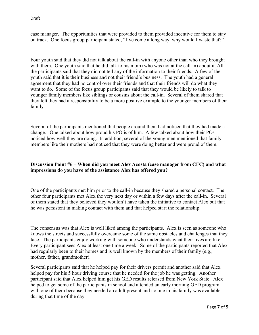case manager. The opportunities that were provided to them provided incentive for them to stay on track. One focus group participant stated, "I've come a long way, why would I waste that?"

Four youth said that they did not talk about the call-in with anyone other than who they brought with them. One youth said that he did talk to his mom (who was not at the call-in) about it. All the participants said that they did not tell any of the information to their friends. A few of the youth said that it is their business and not their friend's business. The youth had a general agreement that they had no control over their friends and that their friends will do what they want to do. Some of the focus group participants said that they would be likely to talk to younger family members like siblings or cousins about the call-in. Several of them shared that they felt they had a responsibility to be a more positive example to the younger members of their family.

Several of the participants mentioned that people around them had noticed that they had made a change. One talked about how proud his PO is of him. A few talked about how their POs noticed how well they are doing. In addition, several of the young men mentioned that family members like their mothers had noticed that they were doing better and were proud of them.

# **Discussion Point #6 – When did you meet Alex Acosta (case manager from CFC) and what impressions do you have of the assistance Alex has offered you?**

One of the participants met him prior to the call-in because they shared a personal contact. The other four participants met Alex the very next day or within a few days after the call-in. Several of them stated that they believed they wouldn't have taken the initiative to contact Alex but that he was persistent in making contact with them and that helped start the relationship.

The consensus was that Alex is well liked among the participants. Alex is seen as someone who knows the streets and successfully overcame some of the same obstacles and challenges that they face. The participants enjoy working with someone who understands what their lives are like. Every participant sees Alex at least one time a week. Some of the participants reported that Alex had regularly been to their homes and is well known by the members of their family (e.g., mother, father, grandmother).

Several participants said that he helped pay for their drivers permit and another said that Alex helped pay for his 5 hour driving course that he needed for the job he was getting. Another participant said that Alex helped him get his GED results released from New York State. Alex helped to get some of the participants in school and attended an early morning GED program with one of them because they needed an adult present and no one in his family was available during that time of the day.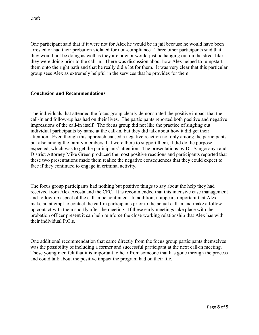One participant said that if it were not for Alex he would be in jail because he would have been arrested or had their probation violated for non-compliance. Three other participants said that they would not be doing as well as they are now or would just be hanging out on the street like they were doing prior to the call-in. There was discussion about how Alex helped to jumpstart them onto the right path and that he really did a lot for them. It was very clear that this particular group sees Alex as extremely helpful in the services that he provides for them.

#### **Conclusion and Recommendations**

The individuals that attended the focus group clearly demonstrated the positive impact that the call-in and follow-up has had on their lives. The participants reported both positive and negative impressions of the call-in itself. The focus group did not like the practice of singling out individual participants by name at the call-in, but they did talk about how it did get their attention. Even though this approach caused a negative reaction not only among the participants but also among the family members that were there to support them, it did do the purpose expected, which was to get the participants' attention. The presentations by Dr. Sangosanya and District Attorney Mike Green produced the most positive reactions and participants reported that these two presentations made them realize the negative consequences that they could expect to face if they continued to engage in criminal activity.

The focus group participants had nothing but positive things to say about the help they had received from Alex Acosta and the CFC. It is recommended that this intensive case management and follow-up aspect of the call-in be continued. In addition, it appears important that Alex make an attempt to contact the call-in participants prior to the actual call-in and make a followup contact with them shortly after the meeting. If these early meetings take place with the probation officer present it can help reinforce the close working relationship that Alex has with their individual P.O.s.

One additional recommendation that came directly from the focus group participants themselves was the possibility of including a former and successful participant at the next call-in meeting. These young men felt that it is important to hear from someone that has gone through the process and could talk about the positive impact the program had on their life.